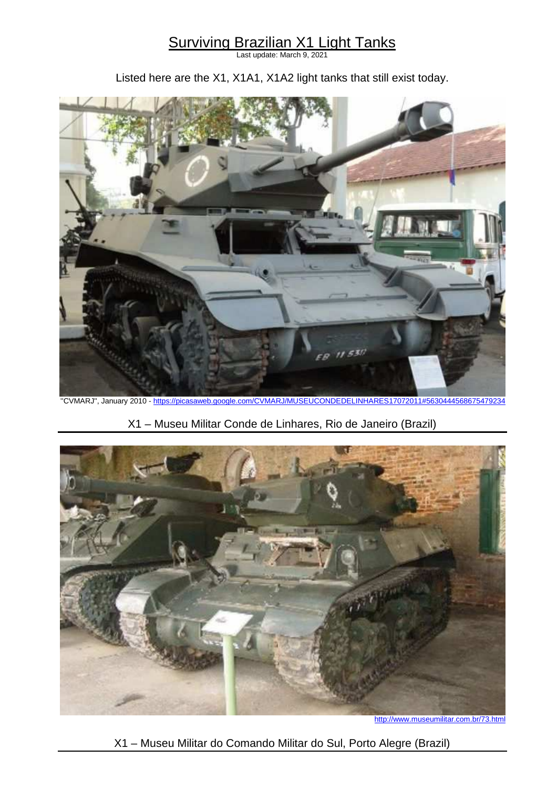## Surviving Brazilian X1 Light Tanks

Last update: March 9, 2021

Listed here are the X1, X1A1, X1A2 light tanks that still exist today.



''CVMARJ'', January 2010 - https://picasaweb.google.com/CVMARJ/MUSEUCONDEDELINHARES17072011#5630444568675479234

X1 – Museu Militar Conde de Linhares, Rio de Janeiro (Brazil)



http://www.museumilitar.com.br/73.html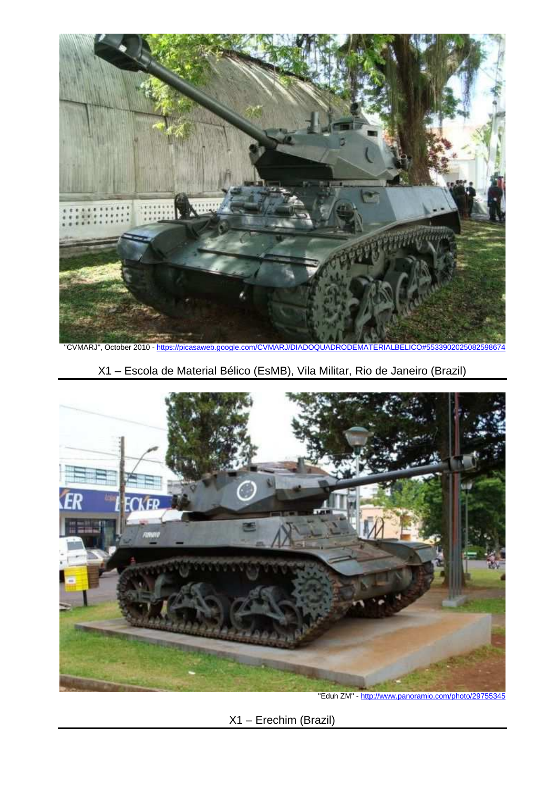

"CVMARJ", October 2010 - https://picasaweb.google.com/CVMARJ/DIADOQUADRODEMATERIALBELICO#55





"Eduh ZM" - http://www.panoramio.com/photo/29755345

X1 – Erechim (Brazil)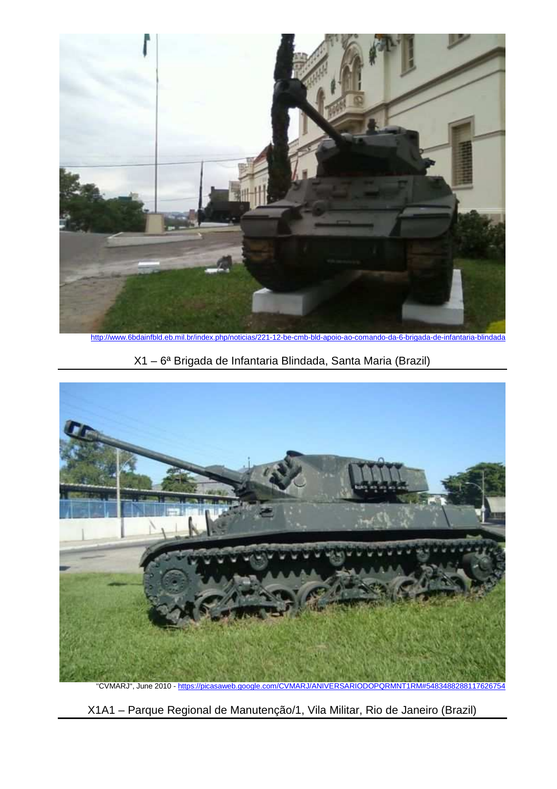

http://www.6bdainfbld.eb.mil.br/index.php/noticias/221-12-be-cmb-bld-apoio-ao-comando-da-6-brigada-de-infantaria-blindada





X1A1 – Parque Regional de Manutenção/1, Vila Militar, Rio de Janeiro (Brazil)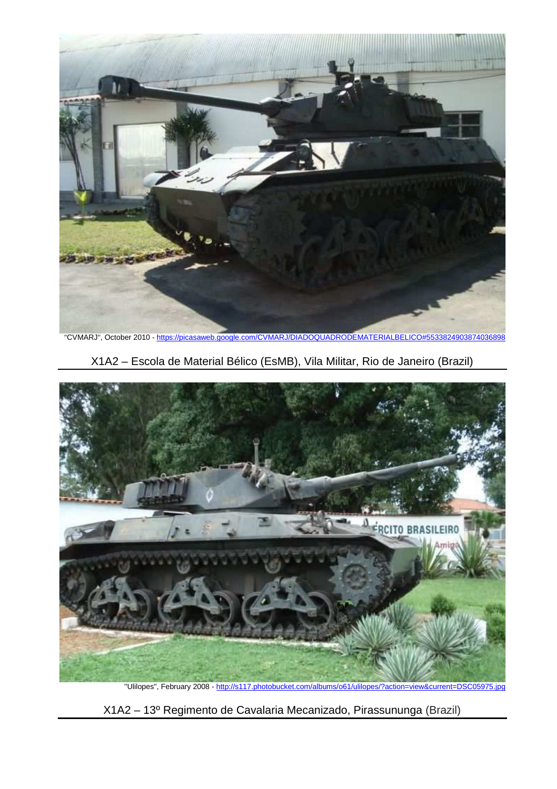

''CVMARJ'', October 2010 - https://picasaweb.google.com/CVMARJ/DIADOQUADRODEMATERIALBELICO#5533824903874036898

X1A2 – Escola de Material Bélico (EsMB), Vila Militar, Rio de Janeiro (Brazil)



"Ulilopes", February 2008 - http://s117.photobucket.com/albums/o61/ulilopes/?action=view&current=DSC05975.jpg

X1A2 – 13º Regimento de Cavalaria Mecanizado, Pirassununga (Brazil)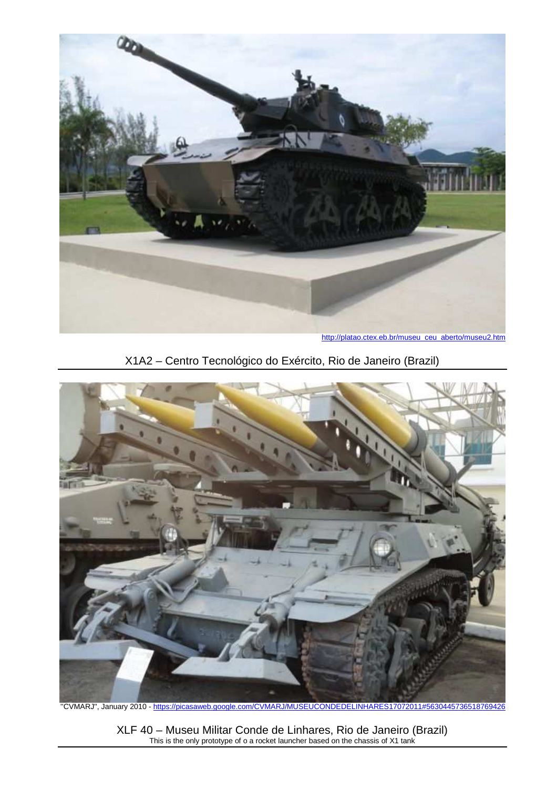

http://platao.ctex.eb.br/museu\_ceu\_aberto/museu2.htm





''CVMARJ'', January 2010 - https://picasaweb.google.com/CVMARJ/MUSEUCONDEDELINHARES17072011#5630445736518769426

XLF 40 – Museu Militar Conde de Linhares, Rio de Janeiro (Brazil) This is the only prototype of o a rocket launcher based on the chassis of X1 tank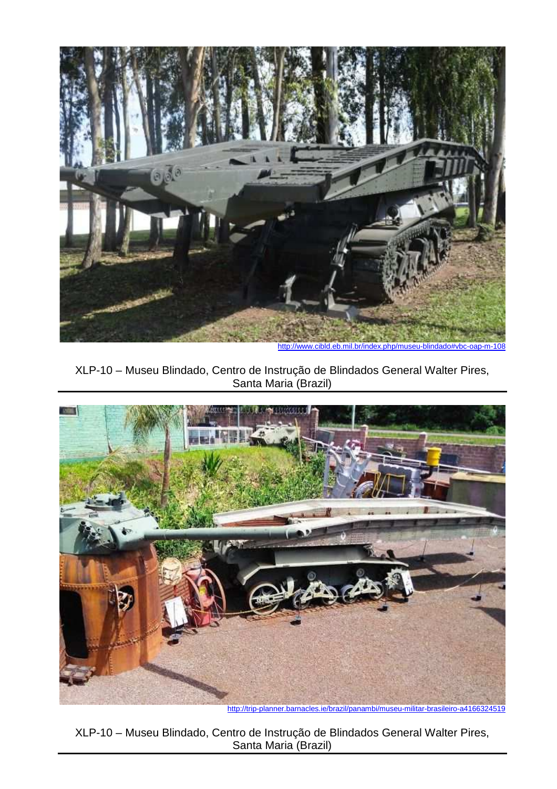

http://www.cibld.eb.mil.br/index.php/museu-blindado#vbc-oap-m-108





http://trip-planner.barnacles.ie/brazil/panambi/museu-militar-brasileiro-a4166324519

XLP-10 – Museu Blindado, Centro de Instrução de Blindados General Walter Pires, Santa Maria (Brazil)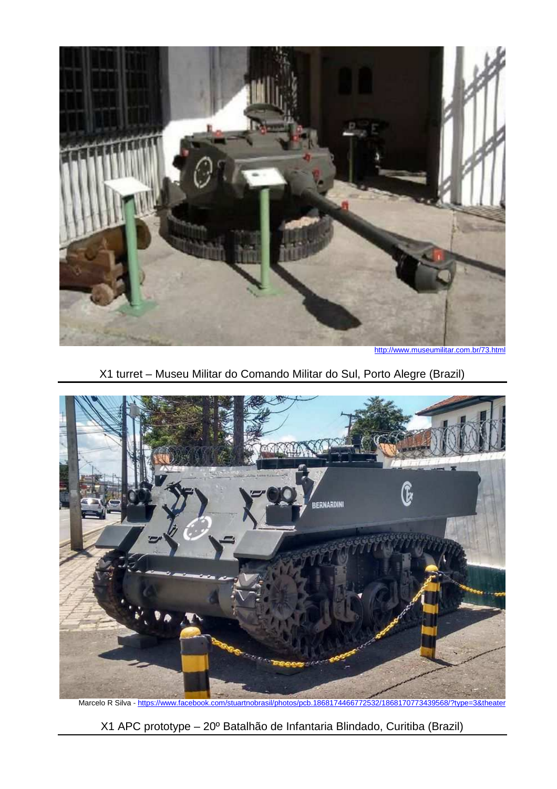

http://www.museumilitar.com.br/73.html

X1 turret – Museu Militar do Comando Militar do Sul, Porto Alegre (Brazil)



X1 APC prototype – 20º Batalhão de Infantaria Blindado, Curitiba (Brazil)